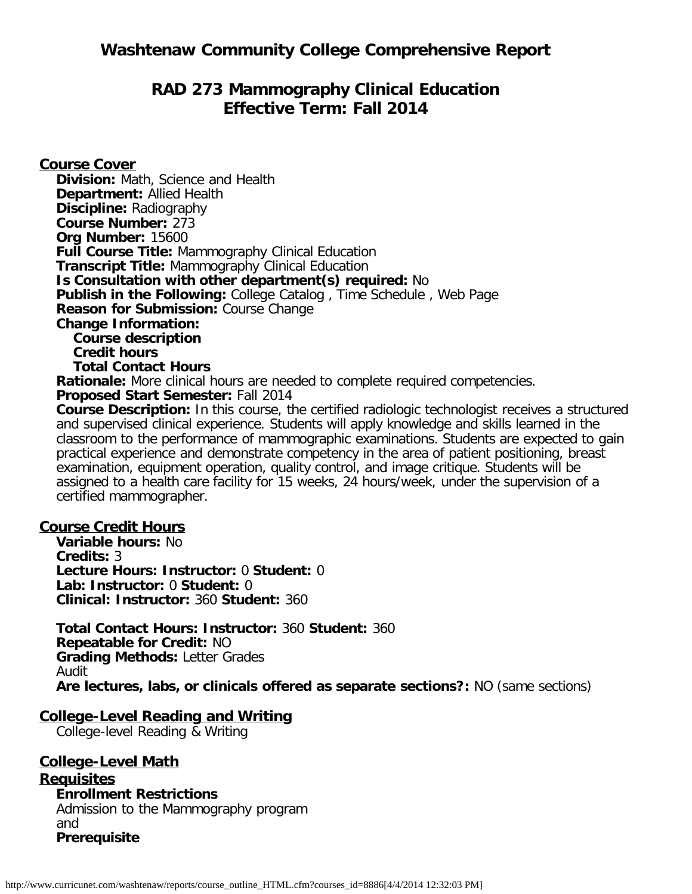# **RAD 273 Mammography Clinical Education Effective Term: Fall 2014**

**Course Cover**

**Division:** Math, Science and Health **Department:** Allied Health **Discipline:** Radiography **Course Number:** 273 **Org Number:** 15600 **Full Course Title:** Mammography Clinical Education **Transcript Title:** Mammography Clinical Education **Is Consultation with other department(s) required:** No **Publish in the Following:** College Catalog , Time Schedule , Web Page **Reason for Submission:** Course Change **Change Information: Course description Credit hours Total Contact Hours Rationale:** More clinical hours are needed to complete required competencies. **Proposed Start Semester:** Fall 2014 **Course Description:** In this course, the certified radiologic technologist receives a structured

and supervised clinical experience. Students will apply knowledge and skills learned in the classroom to the performance of mammographic examinations. Students are expected to gain practical experience and demonstrate competency in the area of patient positioning, breast examination, equipment operation, quality control, and image critique. Students will be assigned to a health care facility for 15 weeks, 24 hours/week, under the supervision of a certified mammographer.

#### **Course Credit Hours**

**Variable hours:** No **Credits:** 3 **Lecture Hours: Instructor:** 0 **Student:** 0 **Lab: Instructor:** 0 **Student:** 0 **Clinical: Instructor:** 360 **Student:** 360

**Total Contact Hours: Instructor:** 360 **Student:** 360 **Repeatable for Credit:** NO **Grading Methods:** Letter Grades Audit **Are lectures, labs, or clinicals offered as separate sections?:** NO (same sections)

#### **College-Level Reading and Writing**

College-level Reading & Writing

**College-Level Math Requisites Enrollment Restrictions** Admission to the Mammography program and **Prerequisite**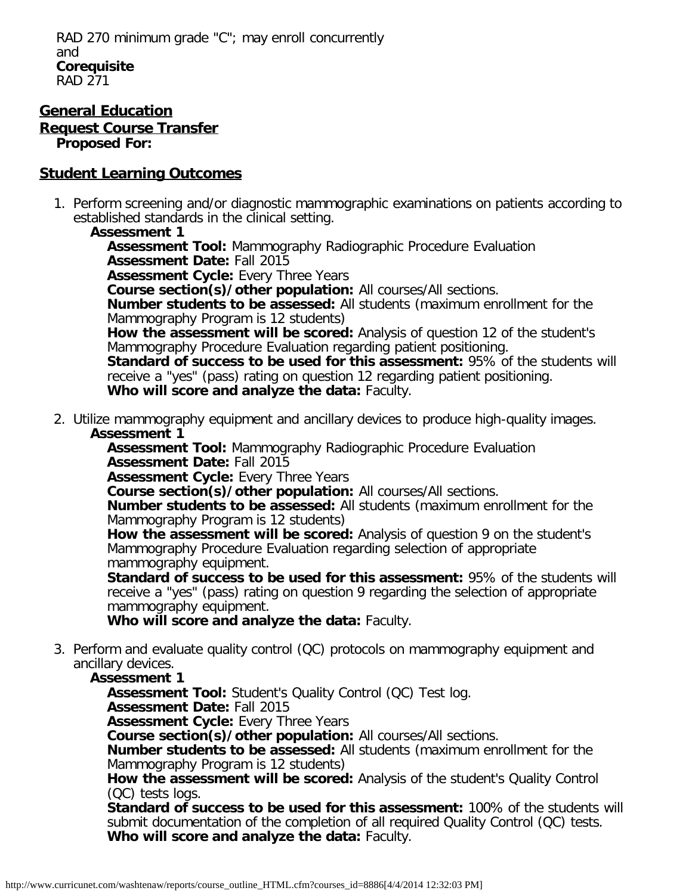#### **General Education Request Course Transfer Proposed For:**

# **Student Learning Outcomes**

1. Perform screening and/or diagnostic mammographic examinations on patients according to established standards in the clinical setting.

## **Assessment 1**

**Assessment Tool:** Mammography Radiographic Procedure Evaluation **Assessment Date:** Fall 2015 **Assessment Cycle:** Every Three Years **Course section(s)/other population:** All courses/All sections. **Number students to be assessed:** All students (maximum enrollment for the Mammography Program is 12 students) **How the assessment will be scored:** Analysis of question 12 of the student's Mammography Procedure Evaluation regarding patient positioning. **Standard of success to be used for this assessment:** 95% of the students will receive a "yes" (pass) rating on question 12 regarding patient positioning. **Who will score and analyze the data:** Faculty.

2. Utilize mammography equipment and ancillary devices to produce high-quality images. **Assessment 1**

**Assessment Tool:** Mammography Radiographic Procedure Evaluation **Assessment Date:** Fall 2015

**Assessment Cycle:** Every Three Years

**Course section(s)/other population:** All courses/All sections.

**Number students to be assessed:** All students (maximum enrollment for the Mammography Program is 12 students)

**How the assessment will be scored:** Analysis of question 9 on the student's Mammography Procedure Evaluation regarding selection of appropriate mammography equipment.

**Standard of success to be used for this assessment:** 95% of the students will receive a "yes" (pass) rating on question 9 regarding the selection of appropriate mammography equipment.

**Who will score and analyze the data:** Faculty.

3. Perform and evaluate quality control (QC) protocols on mammography equipment and ancillary devices.

## **Assessment 1**

**Assessment Tool:** Student's Quality Control (QC) Test log.

**Assessment Date:** Fall 2015

**Assessment Cycle:** Every Three Years

**Course section(s)/other population:** All courses/All sections.

**Number students to be assessed:** All students (maximum enrollment for the Mammography Program is 12 students)

**How the assessment will be scored:** Analysis of the student's Quality Control (QC) tests logs.

**Standard of success to be used for this assessment:** 100% of the students will submit documentation of the completion of all required Quality Control (QC) tests. **Who will score and analyze the data:** Faculty.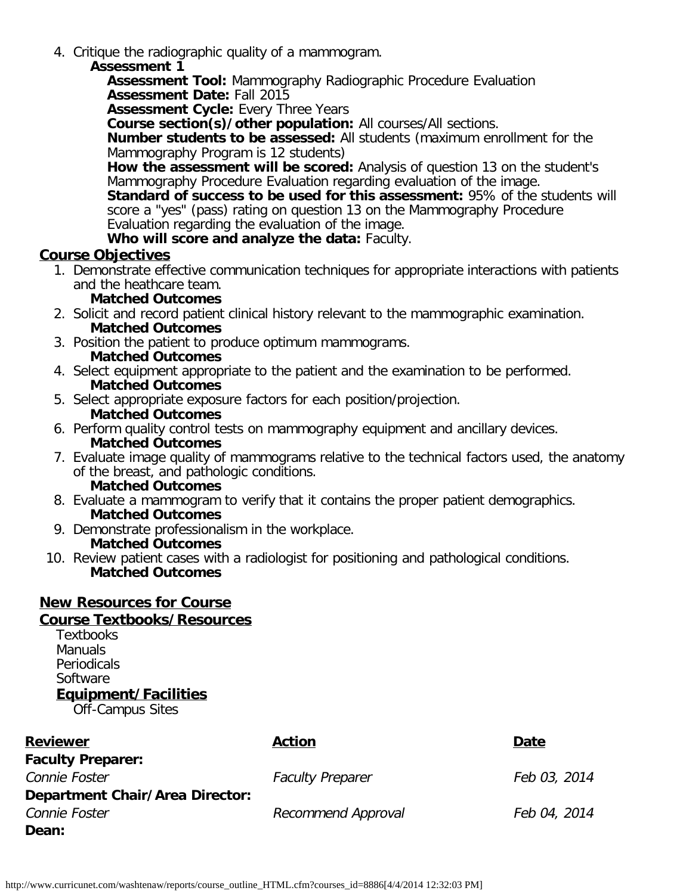4. Critique the radiographic quality of a mammogram.

#### **Assessment 1**

**Assessment Tool:** Mammography Radiographic Procedure Evaluation **Assessment Date:** Fall 2015

**Assessment Cycle:** Every Three Years

**Course section(s)/other population:** All courses/All sections.

**Number students to be assessed:** All students (maximum enrollment for the Mammography Program is 12 students)

**How the assessment will be scored:** Analysis of question 13 on the student's Mammography Procedure Evaluation regarding evaluation of the image.

**Standard of success to be used for this assessment:** 95% of the students will score a "yes" (pass) rating on question 13 on the Mammography Procedure Evaluation regarding the evaluation of the image.

**Who will score and analyze the data:** Faculty.

## **Course Objectives**

- 1. Demonstrate effective communication techniques for appropriate interactions with patients and the heathcare team.
	- **Matched Outcomes**
- 2. Solicit and record patient clinical history relevant to the mammographic examination. **Matched Outcomes**
- 3. Position the patient to produce optimum mammograms. **Matched Outcomes**
- 4. Select equipment appropriate to the patient and the examination to be performed. **Matched Outcomes**
- 5. Select appropriate exposure factors for each position/projection. **Matched Outcomes**
- 6. Perform quality control tests on mammography equipment and ancillary devices. **Matched Outcomes**
- 7. Evaluate image quality of mammograms relative to the technical factors used, the anatomy of the breast, and pathologic conditions. **Matched Outcomes**
- 8. Evaluate a mammogram to verify that it contains the proper patient demographics. **Matched Outcomes**
	- 9. Demonstrate professionalism in the workplace. **Matched Outcomes**
- 10. Review patient cases with a radiologist for positioning and pathological conditions. **Matched Outcomes**

# **New Resources for Course**

# **Course Textbooks/Resources**

**Textbooks Manuals Periodicals Software Equipment/Facilities**

Off-Campus Sites

| <b>Reviewer</b>                        | <b>Action</b>           | Date         |
|----------------------------------------|-------------------------|--------------|
| <b>Faculty Preparer:</b>               |                         |              |
| Connie Foster                          | <b>Faculty Preparer</b> | Feb 03, 2014 |
| <b>Department Chair/Area Director:</b> |                         |              |
| Connie Foster                          | Recommend Approval      | Feb 04, 2014 |
| Dean:                                  |                         |              |